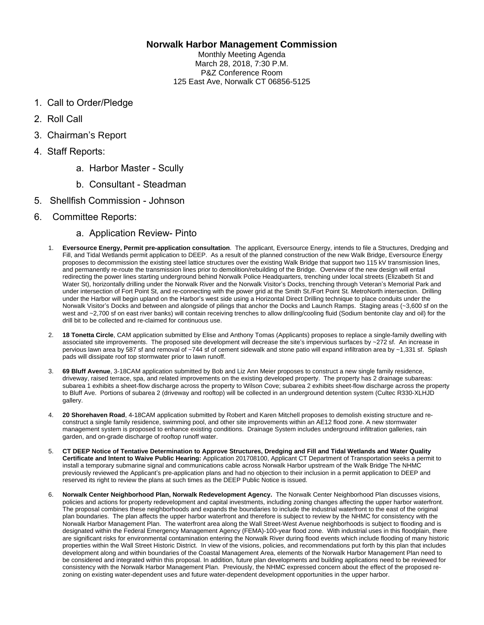## **Norwalk Harbor Management Commission**

Monthly Meeting Agenda March 28, 2018, 7:30 P.M. P&Z Conference Room 125 East Ave, Norwalk CT 06856-5125

- 1. Call to Order/Pledge
- 2. Roll Call
- 3. Chairman's Report
- 4. Staff Reports:
	- a. Harbor Master Scully
	- b. Consultant Steadman
- 5. Shellfish Commission Johnson
- 6. Committee Reports:
	- a. Application Review- Pinto
	- 1. **Eversource Energy, Permit pre-application consultation**. The applicant, Eversource Energy, intends to file a Structures, Dredging and Fill, and Tidal Wetlands permit application to DEEP. As a result of the planned construction of the new Walk Bridge, Eversource Energy proposes to decommission the existing steel lattice structures over the existing Walk Bridge that support two 115 kV transmission lines, and permanently re-route the transmission lines prior to demolition/rebuilding of the Bridge. Overview of the new design will entail redirecting the power lines starting underground behind Norwalk Police Headquarters, trenching under local streets (Elizabeth St and Water St), horizontally drilling under the Norwalk River and the Norwalk Visitor's Docks, trenching through Veteran's Memorial Park and under intersection of Fort Point St, and re-connecting with the power grid at the Smith St./Fort Point St. MetroNorth intersection. Drilling under the Harbor will begin upland on the Harbor's west side using a Horizontal Direct Drilling technique to place conduits under the Norwalk Visitor's Docks and between and alongside of pilings that anchor the Docks and Launch Ramps. Staging areas (~3,600 sf on the west and ~2,700 sf on east river banks) will contain receiving trenches to allow drilling/cooling fluid (Sodium bentonite clay and oil) for the drill bit to be collected and re-claimed for continuous use.
	- 2. **18 Tonetta Circle**, CAM application submitted by Elise and Anthony Tomas (Applicants) proposes to replace a single-family dwelling with associated site improvements. The proposed site development will decrease the site's impervious surfaces by ~272 sf. An increase in pervious lawn area by 587 sf and removal of ~744 sf of cement sidewalk and stone patio will expand infiltration area by ~1,331 sf. Splash pads will dissipate roof top stormwater prior to lawn runoff.
	- 3. **69 Bluff Avenue**, 3-18CAM application submitted by Bob and Liz Ann Meier proposes to construct a new single family residence, driveway, raised terrace, spa, and related improvements on the existing developed property. The property has 2 drainage subareas: subarea 1 exhibits a sheet-flow discharge across the property to Wilson Cove; subarea 2 exhibits sheet-flow discharge across the property to Bluff Ave. Portions of subarea 2 (driveway and rooftop) will be collected in an underground detention system (Cultec R330-XLHJD gallery.
	- 4. **20 Shorehaven Road**, 4-18CAM application submitted by Robert and Karen Mitchell proposes to demolish existing structure and reconstruct a single family residence, swimming pool, and other site improvements within an AE12 flood zone. A new stormwater management system is proposed to enhance existing conditions. Drainage System includes underground infiltration galleries, rain garden, and on-grade discharge of rooftop runoff water.
	- 5. **CT DEEP Notice of Tentative Determination to Approve Structures, Dredging and Fill and Tidal Wetlands and Water Quality Certificate and Intent to Waive Public Hearing:** Application 201708100, Applicant CT Department of Transportation seeks a permit to install a temporary submarine signal and communications cable across Norwalk Harbor upstream of the Walk Bridge The NHMC previously reviewed the Applicant's pre-application plans and had no objection to their inclusion in a permit application to DEEP and reserved its right to review the plans at such times as the DEEP Public Notice is issued.
	- 6. **Norwalk Center Neighborhood Plan, Norwalk Redevelopment Agency.** The Norwalk Center Neighborhood Plan discusses visions, policies and actions for property redevelopment and capital investments, including zoning changes affecting the upper harbor waterfront. The proposal combines these neighborhoods and expands the boundaries to include the industrial waterfront to the east of the original plan boundaries. The plan affects the upper harbor waterfront and therefore is subject to review by the NHMC for consistency with the Norwalk Harbor Management Plan. The waterfront area along the Wall Street-West Avenue neighborhoods is subject to flooding and is designated within the Federal Emergency Management Agency (FEMA)-100-year flood zone. With industrial uses in this floodplain, there are significant risks for environmental contamination entering the Norwalk River during flood events which include flooding of many historic properties within the Wall Street Historic District. In view of the visions, policies, and recommendations put forth by this plan that includes development along and within boundaries of the Coastal Management Area, elements of the Norwalk Harbor Management Plan need to be considered and integrated within this proposal. In addition, future plan developments and building applications need to be reviewed for consistency with the Norwalk Harbor Management Plan. Previously, the NHMC expressed concern about the effect of the proposed rezoning on existing water-dependent uses and future water-dependent development opportunities in the upper harbor.